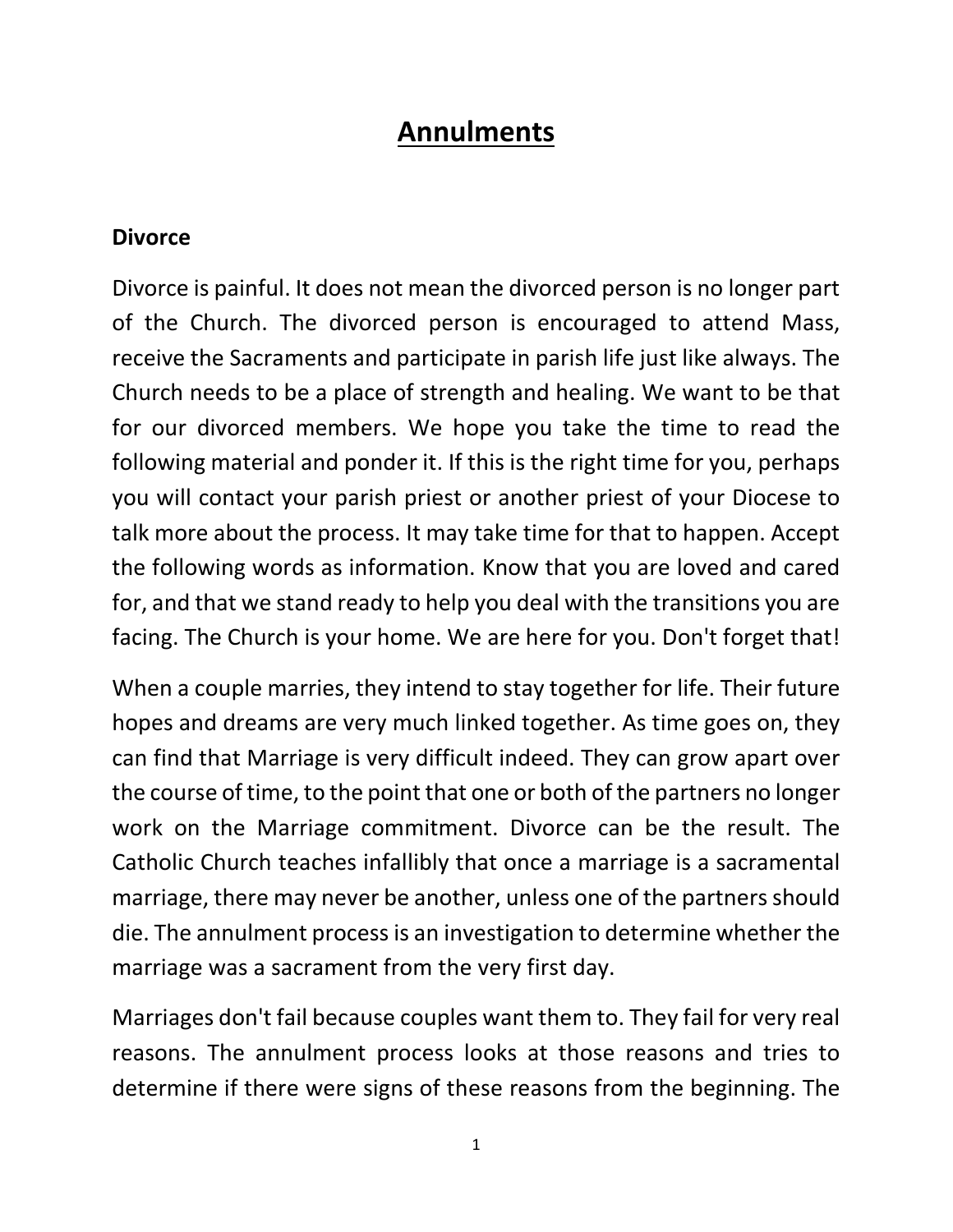# **Annulments**

#### **Divorce**

Divorce is painful. It does not mean the divorced person is no longer part of the Church. The divorced person is encouraged to attend Mass, receive the Sacraments and participate in parish life just like always. The Church needs to be a place of strength and healing. We want to be that for our divorced members. We hope you take the time to read the following material and ponder it. If this is the right time for you, perhaps you will contact your parish priest or another priest of your Diocese to talk more about the process. It may take time for that to happen. Accept the following words as information. Know that you are loved and cared for, and that we stand ready to help you deal with the transitions you are facing. The Church is your home. We are here for you. Don't forget that!

When a couple marries, they intend to stay together for life. Their future hopes and dreams are very much linked together. As time goes on, they can find that Marriage is very difficult indeed. They can grow apart over the course of time, to the point that one or both of the partners no longer work on the Marriage commitment. Divorce can be the result. The Catholic Church teaches infallibly that once a marriage is a sacramental marriage, there may never be another, unless one of the partners should die. The annulment process is an investigation to determine whether the marriage was a sacrament from the very first day.

Marriages don't fail because couples want them to. They fail for very real reasons. The annulment process looks at those reasons and tries to determine if there were signs of these reasons from the beginning. The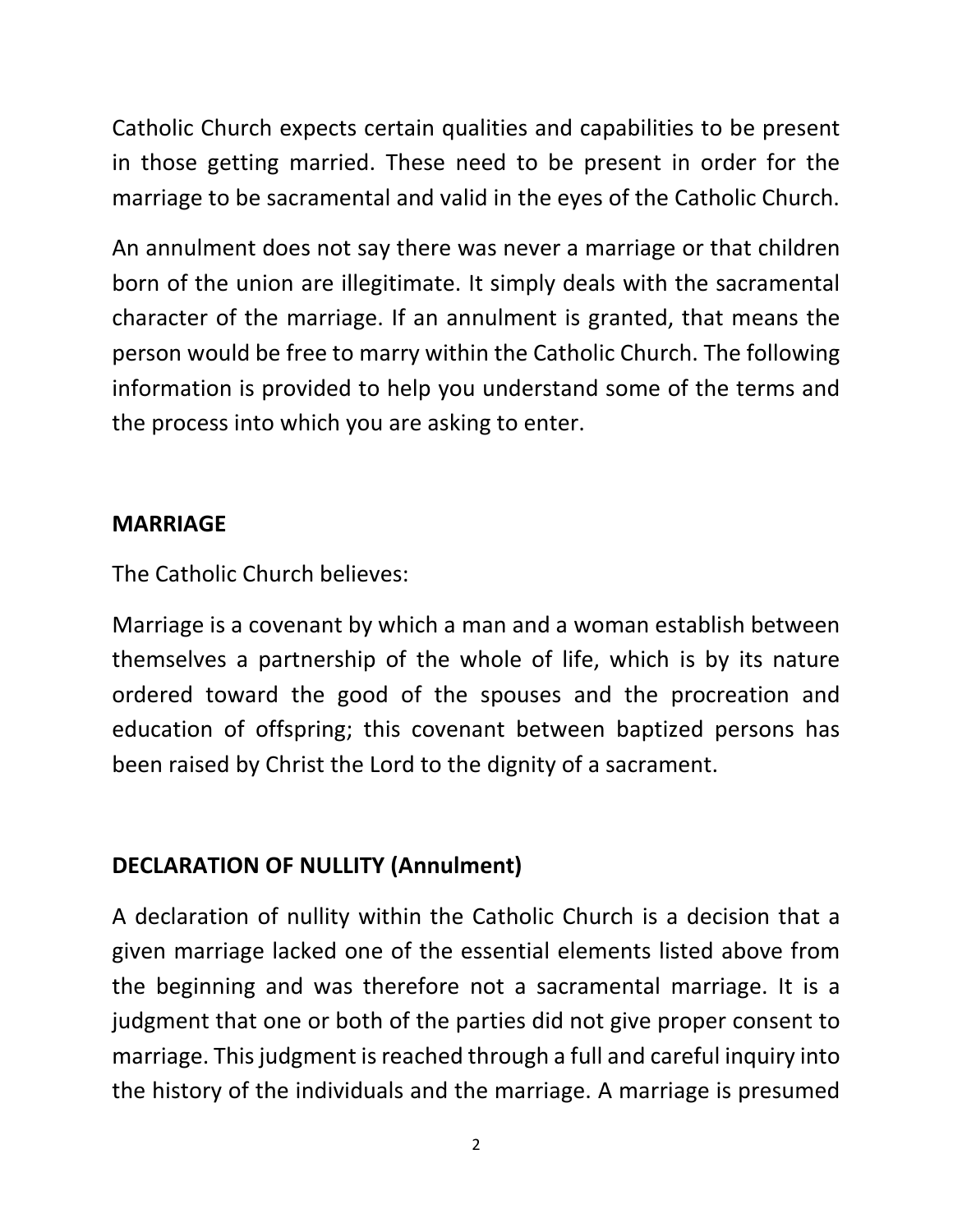Catholic Church expects certain qualities and capabilities to be present in those getting married. These need to be present in order for the marriage to be sacramental and valid in the eyes of the Catholic Church.

An annulment does not say there was never a marriage or that children born of the union are illegitimate. It simply deals with the sacramental character of the marriage. If an annulment is granted, that means the person would be free to marry within the Catholic Church. The following information is provided to help you understand some of the terms and the process into which you are asking to enter.

## **MARRIAGE**

The Catholic Church believes:

Marriage is a covenant by which a man and a woman establish between themselves a partnership of the whole of life, which is by its nature ordered toward the good of the spouses and the procreation and education of offspring; this covenant between baptized persons has been raised by Christ the Lord to the dignity of a sacrament.

# **DECLARATION OF NULLITY (Annulment)**

A declaration of nullity within the Catholic Church is a decision that a given marriage lacked one of the essential elements listed above from the beginning and was therefore not a sacramental marriage. It is a judgment that one or both of the parties did not give proper consent to marriage. This judgment is reached through a full and careful inquiry into the history of the individuals and the marriage. A marriage is presumed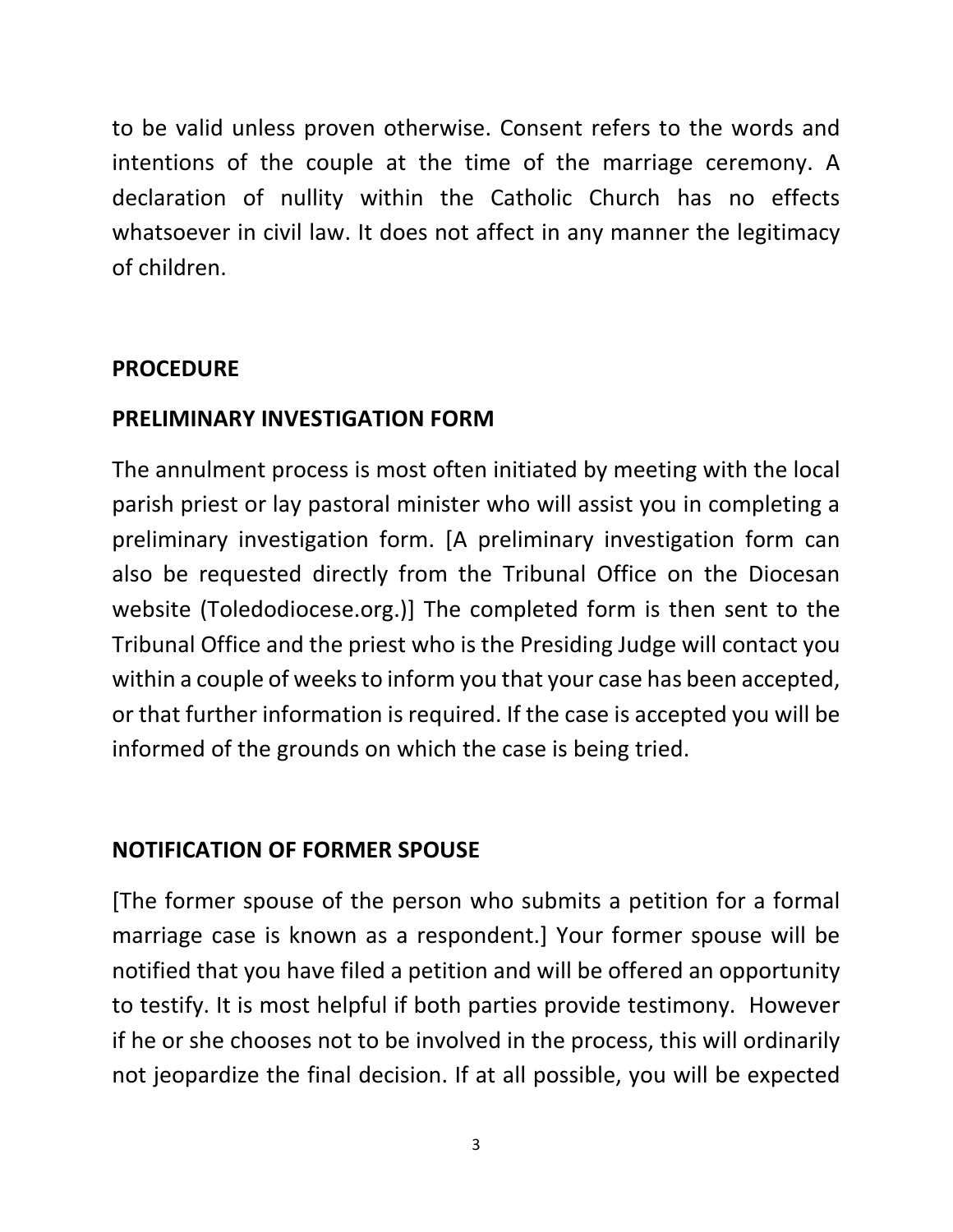to be valid unless proven otherwise. Consent refers to the words and intentions of the couple at the time of the marriage ceremony. A declaration of nullity within the Catholic Church has no effects whatsoever in civil law. It does not affect in any manner the legitimacy of children.

## **PROCEDURE**

#### **PRELIMINARY INVESTIGATION FORM**

The annulment process is most often initiated by meeting with the local parish priest or lay pastoral minister who will assist you in completing a preliminary investigation form. [A preliminary investigation form can also be requested directly from the Tribunal Office on the Diocesan website (Toledodiocese.org.)] The completed form is then sent to the Tribunal Office and the priest who is the Presiding Judge will contact you within a couple of weeks to inform you that your case has been accepted, or that further information is required. If the case is accepted you will be informed of the grounds on which the case is being tried.

## **NOTIFICATION OF FORMER SPOUSE**

[The former spouse of the person who submits a petition for a formal marriage case is known as a respondent.] Your former spouse will be notified that you have filed a petition and will be offered an opportunity to testify. It is most helpful if both parties provide testimony. However if he or she chooses not to be involved in the process, this will ordinarily not jeopardize the final decision. If at all possible, you will be expected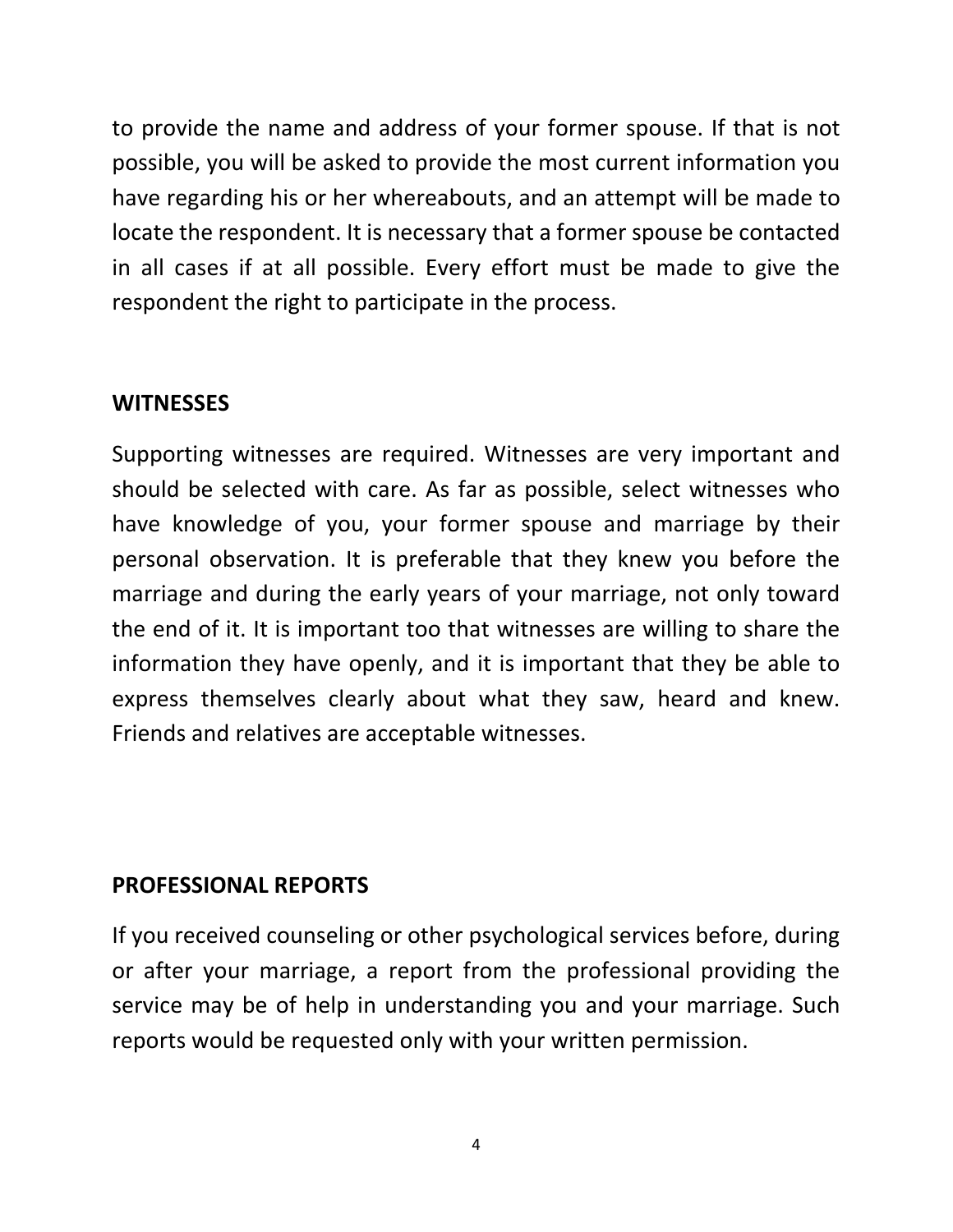to provide the name and address of your former spouse. If that is not possible, you will be asked to provide the most current information you have regarding his or her whereabouts, and an attempt will be made to locate the respondent. It is necessary that a former spouse be contacted in all cases if at all possible. Every effort must be made to give the respondent the right to participate in the process.

#### **WITNESSES**

Supporting witnesses are required. Witnesses are very important and should be selected with care. As far as possible, select witnesses who have knowledge of you, your former spouse and marriage by their personal observation. It is preferable that they knew you before the marriage and during the early years of your marriage, not only toward the end of it. It is important too that witnesses are willing to share the information they have openly, and it is important that they be able to express themselves clearly about what they saw, heard and knew. Friends and relatives are acceptable witnesses.

## **PROFESSIONAL REPORTS**

If you received counseling or other psychological services before, during or after your marriage, a report from the professional providing the service may be of help in understanding you and your marriage. Such reports would be requested only with your written permission.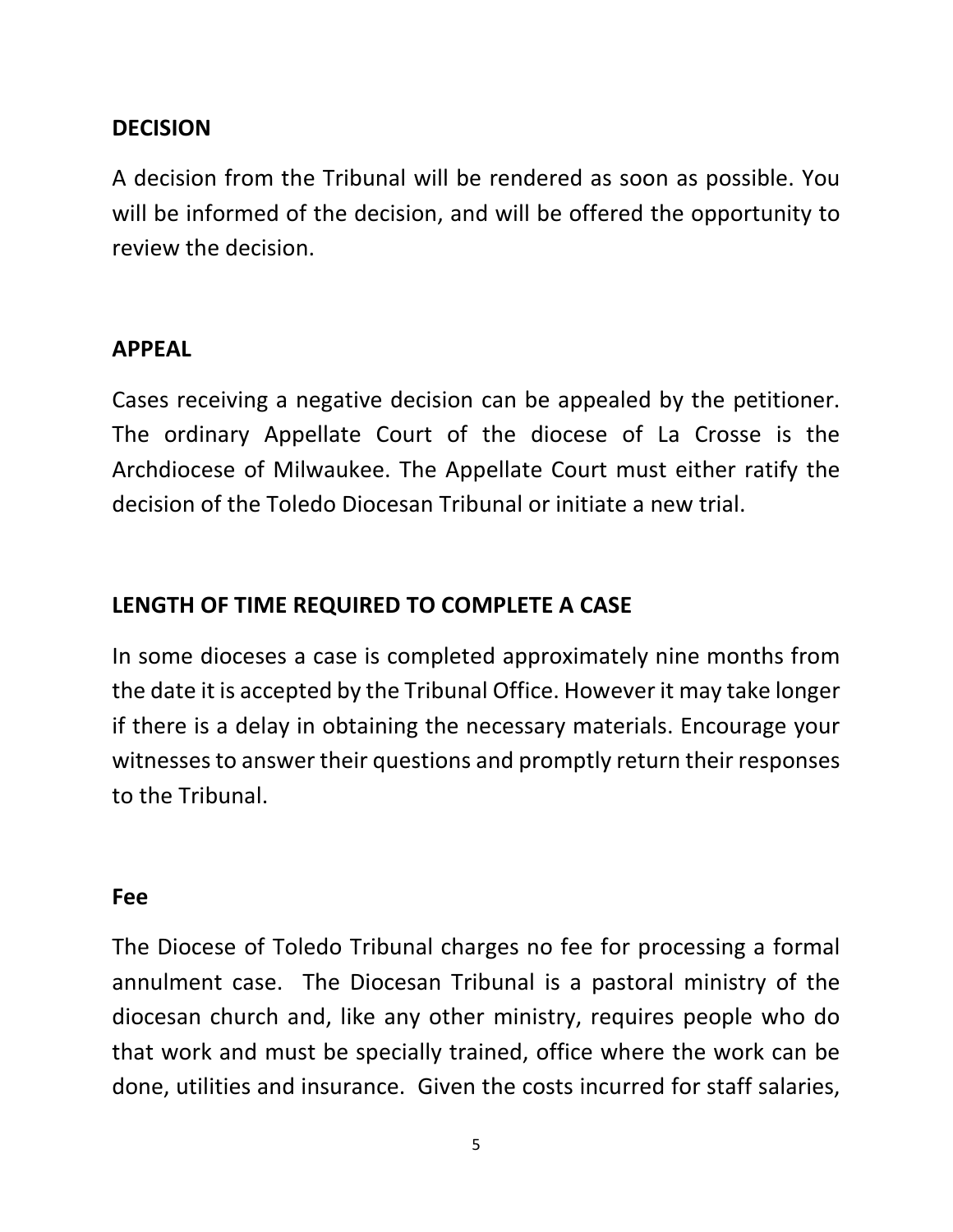#### **DECISION**

A decision from the Tribunal will be rendered as soon as possible. You will be informed of the decision, and will be offered the opportunity to review the decision.

#### **APPEAL**

Cases receiving a negative decision can be appealed by the petitioner. The ordinary Appellate Court of the diocese of La Crosse is the Archdiocese of Milwaukee. The Appellate Court must either ratify the decision of the Toledo Diocesan Tribunal or initiate a new trial.

#### **LENGTH OF TIME REQUIRED TO COMPLETE A CASE**

In some dioceses a case is completed approximately nine months from the date it is accepted by the Tribunal Office. However it may take longer if there is a delay in obtaining the necessary materials. Encourage your witnesses to answer their questions and promptly return their responses to the Tribunal.

#### **Fee**

The Diocese of Toledo Tribunal charges no fee for processing a formal annulment case. The Diocesan Tribunal is a pastoral ministry of the diocesan church and, like any other ministry, requires people who do that work and must be specially trained, office where the work can be done, utilities and insurance. Given the costs incurred for staff salaries,